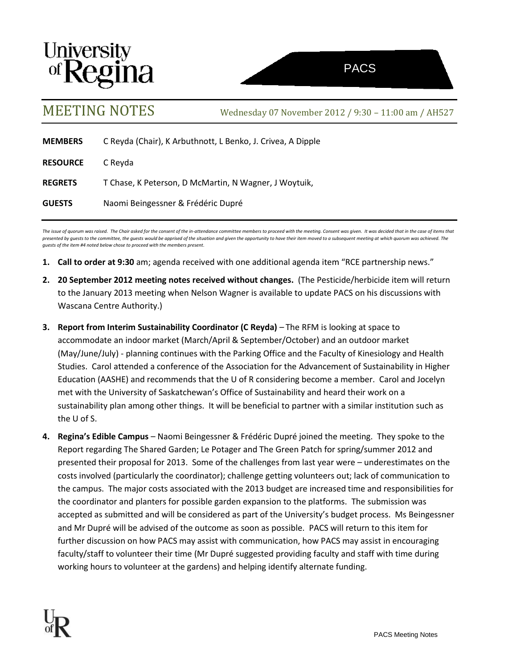



MEETING NOTES Wednesday <sup>07</sup> November 2012 / 9:30 – 11:00 am / AH527

| <b>MEMBERS</b>  | C Reyda (Chair), K Arbuthnott, L Benko, J. Crivea, A Dipple |
|-----------------|-------------------------------------------------------------|
| <b>RESOURCE</b> | C Reyda                                                     |
| <b>REGRETS</b>  | T Chase, K Peterson, D McMartin, N Wagner, J Woytuik,       |
| <b>GUESTS</b>   | Naomi Beingessner & Frédéric Dupré                          |

The issue of quorum was raised. The Chair asked for the consent of the in-attendance committee members to proceed with the meeting. Consent was given. It was decided that in the case of items that *presented by guests to the committee, the guests would be apprised of the situation and given the opportunity to have their item moved to a subsequent meeting at which quorum was achieved. The guests of the item #4 noted below chose to proceed with the members present.* 

- **1. Call to order at 9:30** am; agenda received with one additional agenda item "RCE partnership news."
- **2. 20 September 2012 meeting notes received without changes.** (The Pesticide/herbicide item will return to the January 2013 meeting when Nelson Wagner is available to update PACS on his discussions with Wascana Centre Authority.)
- **3. Report from Interim Sustainability Coordinator (C Reyda)** The RFM is looking at space to accommodate an indoor market (March/April & September/October) and an outdoor market (May/June/July) - planning continues with the Parking Office and the Faculty of Kinesiology and Health Studies. Carol attended a conference of the Association for the Advancement of Sustainability in Higher Education (AASHE) and recommends that the U of R considering become a member. Carol and Jocelyn met with the University of Saskatchewan's Office of Sustainability and heard their work on a sustainability plan among other things. It will be beneficial to partner with a similar institution such as the U of S.
- **4. Regina's Edible Campus** Naomi Beingessner & Frédéric Dupré joined the meeting. They spoke to the Report regarding The Shared Garden; Le Potager and The Green Patch for spring/summer 2012 and presented their proposal for 2013. Some of the challenges from last year were – underestimates on the costs involved (particularly the coordinator); challenge getting volunteers out; lack of communication to the campus. The major costs associated with the 2013 budget are increased time and responsibilities for the coordinator and planters for possible garden expansion to the platforms. The submission was accepted as submitted and will be considered as part of the University's budget process. Ms Beingessner and Mr Dupré will be advised of the outcome as soon as possible. PACS will return to this item for further discussion on how PACS may assist with communication, how PACS may assist in encouraging faculty/staff to volunteer their time (Mr Dupré suggested providing faculty and staff with time during working hours to volunteer at the gardens) and helping identify alternate funding.